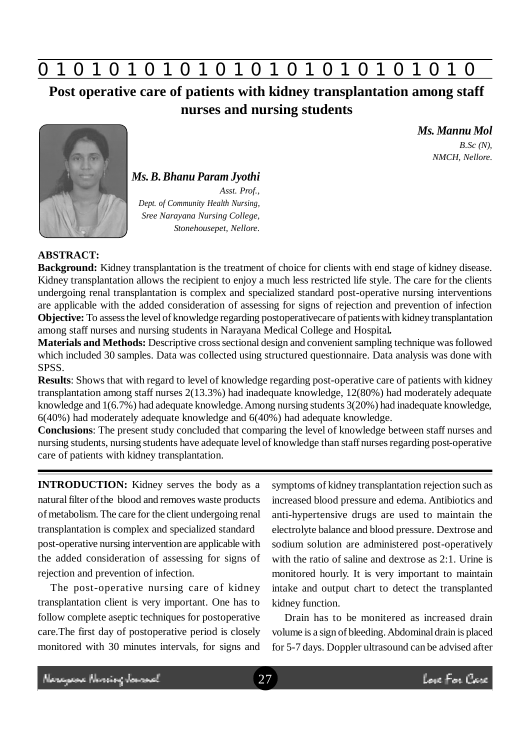

**Post operative care of patients with kidney transplantation among staff nurses and nursing students**



*Ms. B. Bhanu Param Jyothi Asst. Prof., Dept. of Community Health Nursing, Sree Narayana Nursing College, Stonehousepet, Nellore.*

*Ms. Mannu Mol B.Sc (N), NMCH, Nellore.*

## **ABSTRACT:**

**Background:** Kidney transplantation is the treatment of choice for clients with end stage of kidney disease. Kidney transplantation allows the recipient to enjoy a much less restricted life style. The care for the clients undergoing renal transplantation is complex and specialized standard post-operative nursing interventions are applicable with the added consideration of assessing for signs of rejection and prevention of infection **Objective:** To assess the level of knowledge regarding postoperativecare of patients with kidney transplantation among staff nurses and nursing students in Narayana Medical College and Hospital**.**

**Materials and Methods:** Descriptive cross sectional design and convenient sampling technique was followed which included 30 samples. Data was collected using structured questionnaire. Data analysis was done with SPSS.

**Results**: Shows that with regard to level of knowledge regarding post-operative care of patients with kidney transplantation among staff nurses 2(13.3%) had inadequate knowledge, 12(80%) had moderately adequate knowledge and 1(6.7%) had adequate knowledge. Among nursing students 3(20%) had inadequate knowledge, 6(40%) had moderately adequate knowledge and 6(40%) had adequate knowledge.

**Conclusions**: The present study concluded that comparing the level of knowledge between staff nurses and nursing students, nursing students have adequate level of knowledge than staff nurses regarding post-operative care of patients with kidney transplantation.

**INTRODUCTION:** Kidney serves the body as a natural filter of the blood and removes waste products of metabolism. The care for the client undergoing renal transplantation is complex and specialized standard post-operative nursing intervention are applicable with the added consideration of assessing for signs of rejection and prevention of infection.

The post-operative nursing care of kidney transplantation client is very important. One has to follow complete aseptic techniques for postoperative care.The first day of postoperative period is closely monitored with 30 minutes intervals, for signs and symptoms of kidney transplantation rejection such as increased blood pressure and edema. Antibiotics and anti-hypertensive drugs are used to maintain the electrolyte balance and blood pressure. Dextrose and sodium solution are administered post-operatively with the ratio of saline and dextrose as 2:1. Urine is monitored hourly. It is very important to maintain intake and output chart to detect the transplanted kidney function.

Drain has to be monitered as increased drain volume is a sign of bleeding. Abdominal drain is placed for 5-7 days. Doppler ultrasound can be advised after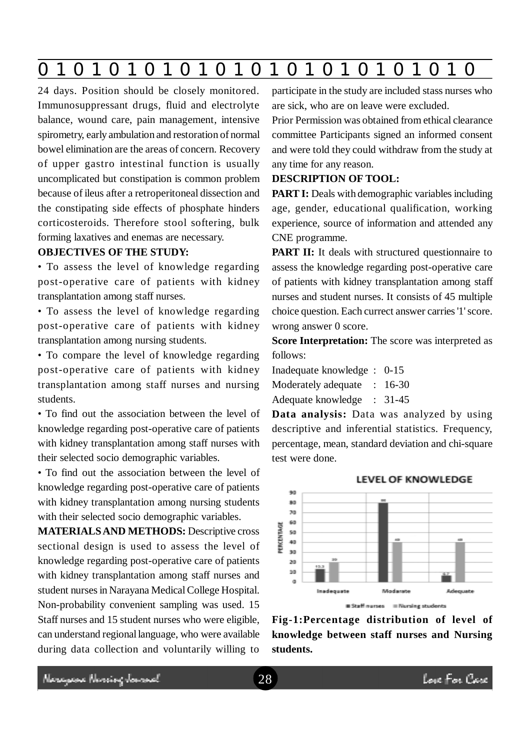|--|--|--|--|--|--|--|--|--|--|--|--|--|

24 days. Position should be closely monitored. Immunosuppressant drugs, fluid and electrolyte balance, wound care, pain management, intensive spirometry, early ambulation and restoration of normal bowel elimination are the areas of concern. Recovery of upper gastro intestinal function is usually uncomplicated but constipation is common problem because of ileus after a retroperitoneal dissection and the constipating side effects of phosphate hinders corticosteroids. Therefore stool softering, bulk forming laxatives and enemas are necessary.

# **OBJECTIVES OF THE STUDY:**

• To assess the level of knowledge regarding post-operative care of patients with kidney transplantation among staff nurses.

• To assess the level of knowledge regarding post-operative care of patients with kidney transplantation among nursing students.

• To compare the level of knowledge regarding post-operative care of patients with kidney transplantation among staff nurses and nursing students.

• To find out the association between the level of knowledge regarding post-operative care of patients with kidney transplantation among staff nurses with their selected socio demographic variables.

• To find out the association between the level of knowledge regarding post-operative care of patients with kidney transplantation among nursing students with their selected socio demographic variables.

**MATERIALS AND METHODS:** Descriptive cross sectional design is used to assess the level of knowledge regarding post-operative care of patients with kidney transplantation among staff nurses and student nurses in Narayana Medical College Hospital. Non-probability convenient sampling was used. 15 Staff nurses and 15 student nurses who were eligible, can understand regional language, who were available during data collection and voluntarily willing to participate in the study are included stass nurses who are sick, who are on leave were excluded.

Prior Permission was obtained from ethical clearance committee Participants signed an informed consent and were told they could withdraw from the study at any time for any reason.

#### **DESCRIPTION OF TOOL:**

**PART I:** Deals with demographic variables including age, gender, educational qualification, working experience, source of information and attended any CNE programme.

**PART II:** It deals with structured questionnaire to assess the knowledge regarding post-operative care of patients with kidney transplantation among staff nurses and student nurses. It consists of 45 multiple choice question. Each currect answer carries '1' score. wrong answer 0 score.

**Score Interpretation:** The score was interpreted as follows:

Inadequate knowledge : 0-15 Moderately adequate : 16-30

Adequate knowledge : 31-45

**Data analysis:** Data was analyzed by using descriptive and inferential statistics. Frequency, percentage, mean, standard deviation and chi-square test were done.



# **Fig-1:Percentage distribution of level of knowledge between staff nurses and Nursing students.**